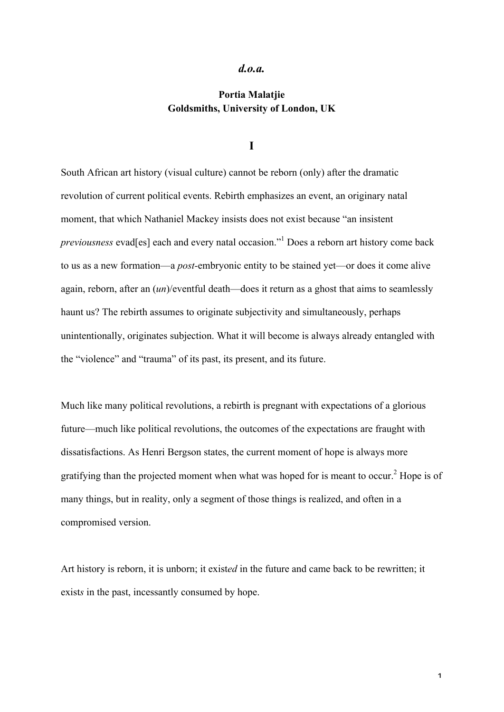### *d.o.a.*

# **Portia Malatjie Goldsmiths, University of London, UK**

#### **I**

South African art history (visual culture) cannot be reborn (only) after the dramatic revolution of current political events. Rebirth emphasizes an event, an originary natal moment, that which Nathaniel Mackey insists does not exist because "an insistent *previousness* evad[es] each and every natal occasion."<sup>1</sup> Does a reborn art history come back to us as a new formation—a *post-*embryonic entity to be stained yet—or does it come alive again, reborn, after an (*un*)/eventful death—does it return as a ghost that aims to seamlessly haunt us? The rebirth assumes to originate subjectivity and simultaneously, perhaps unintentionally, originates subjection. What it will become is always already entangled with the "violence" and "trauma" of its past, its present, and its future.

Much like many political revolutions, a rebirth is pregnant with expectations of a glorious future—much like political revolutions, the outcomes of the expectations are fraught with dissatisfactions. As Henri Bergson states, the current moment of hope is always more gratifying than the projected moment when what was hoped for is meant to occur.<sup>2</sup> Hope is of many things, but in reality, only a segment of those things is realized, and often in a compromised version.

Art history is reborn, it is unborn; it exist*ed* in the future and came back to be rewritten; it exists in the past, incessantly consumed by hope.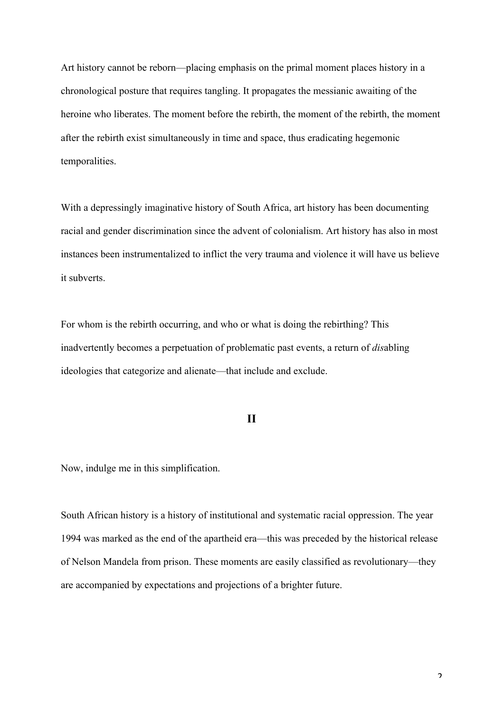Art history cannot be reborn—placing emphasis on the primal moment places history in a chronological posture that requires tangling. It propagates the messianic awaiting of the heroine who liberates. The moment before the rebirth, the moment of the rebirth, the moment after the rebirth exist simultaneously in time and space, thus eradicating hegemonic temporalities.

With a depressingly imaginative history of South Africa, art history has been documenting racial and gender discrimination since the advent of colonialism. Art history has also in most instances been instrumentalized to inflict the very trauma and violence it will have us believe it subverts.

For whom is the rebirth occurring, and who or what is doing the rebirthing? This inadvertently becomes a perpetuation of problematic past events, a return of *dis*abling ideologies that categorize and alienate—that include and exclude.

## **II**

Now, indulge me in this simplification.

South African history is a history of institutional and systematic racial oppression. The year 1994 was marked as the end of the apartheid era—this was preceded by the historical release of Nelson Mandela from prison. These moments are easily classified as revolutionary—they are accompanied by expectations and projections of a brighter future.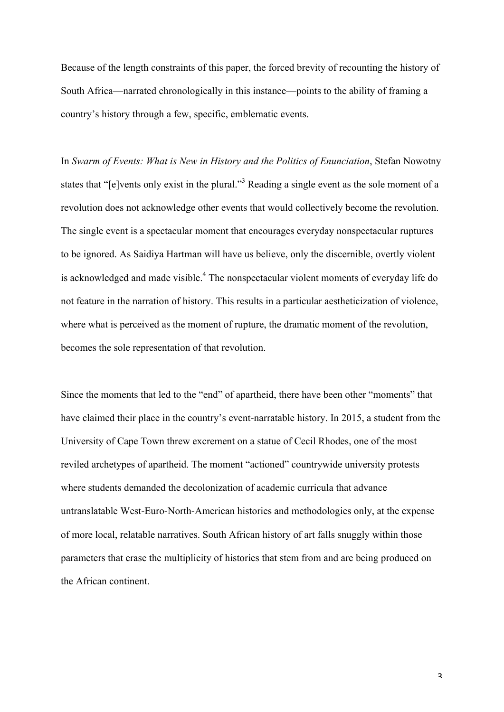Because of the length constraints of this paper, the forced brevity of recounting the history of South Africa—narrated chronologically in this instance—points to the ability of framing a country's history through a few, specific, emblematic events.

In *Swarm of Events: What is New in History and the Politics of Enunciation*, Stefan Nowotny states that "[e]vents only exist in the plural."<sup>3</sup> Reading a single event as the sole moment of a revolution does not acknowledge other events that would collectively become the revolution. The single event is a spectacular moment that encourages everyday nonspectacular ruptures to be ignored. As Saidiya Hartman will have us believe, only the discernible, overtly violent is acknowledged and made visible.<sup>4</sup> The nonspectacular violent moments of everyday life do not feature in the narration of history. This results in a particular aestheticization of violence, where what is perceived as the moment of rupture, the dramatic moment of the revolution, becomes the sole representation of that revolution.

Since the moments that led to the "end" of apartheid, there have been other "moments" that have claimed their place in the country's event-narratable history. In 2015, a student from the University of Cape Town threw excrement on a statue of Cecil Rhodes, one of the most reviled archetypes of apartheid. The moment "actioned" countrywide university protests where students demanded the decolonization of academic curricula that advance untranslatable West-Euro-North-American histories and methodologies only, at the expense of more local, relatable narratives. South African history of art falls snuggly within those parameters that erase the multiplicity of histories that stem from and are being produced on the African continent.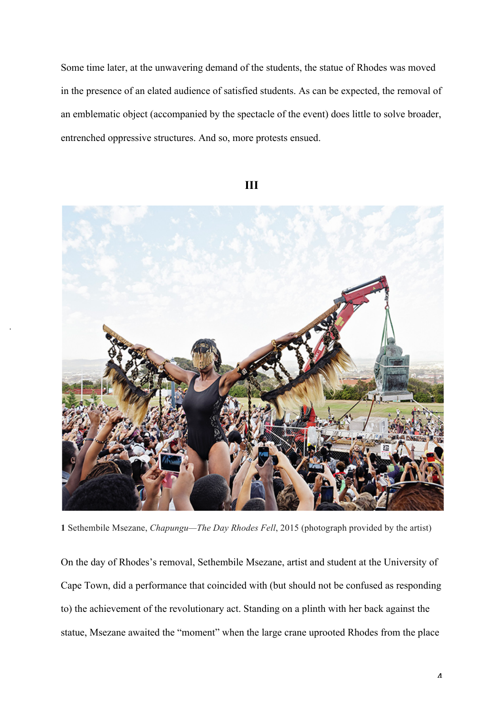Some time later, at the unwavering demand of the students, the statue of Rhodes was moved in the presence of an elated audience of satisfied students. As can be expected, the removal of an emblematic object (accompanied by the spectacle of the event) does little to solve broader, entrenched oppressive structures. And so, more protests ensued.



.

**III**

**1** Sethembile Msezane, *Chapungu—The Day Rhodes Fell*, 2015 (photograph provided by the artist)

On the day of Rhodes's removal, Sethembile Msezane, artist and student at the University of Cape Town, did a performance that coincided with (but should not be confused as responding to) the achievement of the revolutionary act. Standing on a plinth with her back against the statue, Msezane awaited the "moment" when the large crane uprooted Rhodes from the place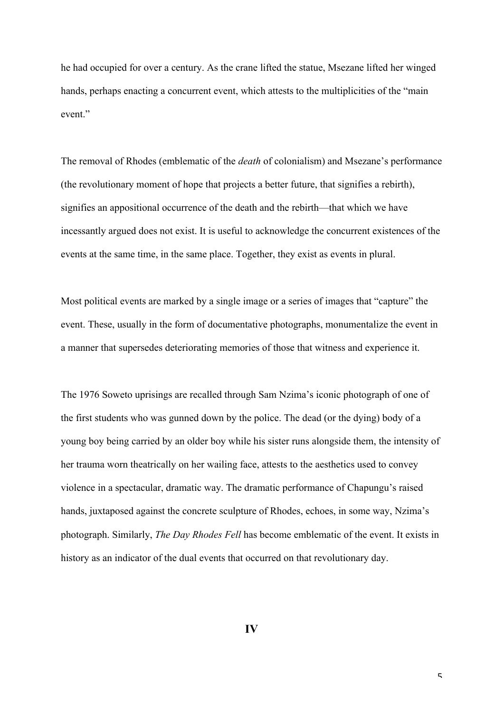he had occupied for over a century. As the crane lifted the statue, Msezane lifted her winged hands, perhaps enacting a concurrent event, which attests to the multiplicities of the "main event."

The removal of Rhodes (emblematic of the *death* of colonialism) and Msezane's performance (the revolutionary moment of hope that projects a better future, that signifies a rebirth), signifies an appositional occurrence of the death and the rebirth—that which we have incessantly argued does not exist. It is useful to acknowledge the concurrent existences of the events at the same time, in the same place. Together, they exist as events in plural.

Most political events are marked by a single image or a series of images that "capture" the event. These, usually in the form of documentative photographs, monumentalize the event in a manner that supersedes deteriorating memories of those that witness and experience it.

The 1976 Soweto uprisings are recalled through Sam Nzima's iconic photograph of one of the first students who was gunned down by the police. The dead (or the dying) body of a young boy being carried by an older boy while his sister runs alongside them, the intensity of her trauma worn theatrically on her wailing face, attests to the aesthetics used to convey violence in a spectacular, dramatic way. The dramatic performance of Chapungu's raised hands, juxtaposed against the concrete sculpture of Rhodes, echoes, in some way, Nzima's photograph. Similarly, *The Day Rhodes Fell* has become emblematic of the event. It exists in history as an indicator of the dual events that occurred on that revolutionary day.

**IV**